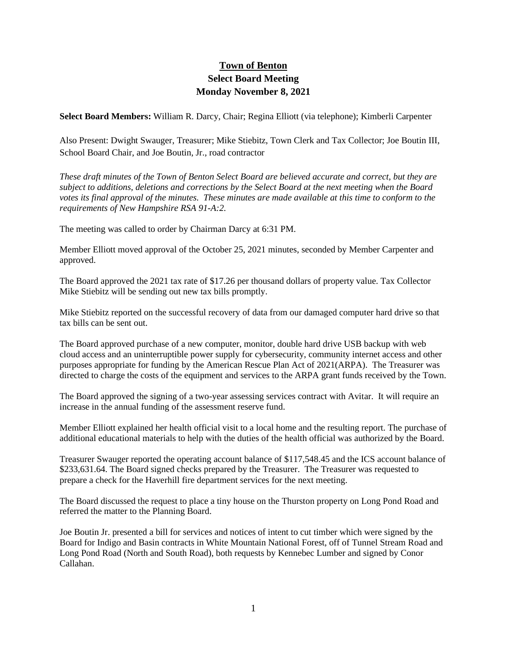## **Town of Benton Select Board Meeting Monday November 8, 2021**

**Select Board Members:** William R. Darcy, Chair; Regina Elliott (via telephone); Kimberli Carpenter

Also Present: Dwight Swauger, Treasurer; Mike Stiebitz, Town Clerk and Tax Collector; Joe Boutin III, School Board Chair, and Joe Boutin, Jr., road contractor

*These draft minutes of the Town of Benton Select Board are believed accurate and correct, but they are subject to additions, deletions and corrections by the Select Board at the next meeting when the Board votes its final approval of the minutes. These minutes are made available at this time to conform to the requirements of New Hampshire RSA 91-A:2.*

The meeting was called to order by Chairman Darcy at 6:31 PM.

Member Elliott moved approval of the October 25, 2021 minutes, seconded by Member Carpenter and approved.

The Board approved the 2021 tax rate of \$17.26 per thousand dollars of property value. Tax Collector Mike Stiebitz will be sending out new tax bills promptly.

Mike Stiebitz reported on the successful recovery of data from our damaged computer hard drive so that tax bills can be sent out.

The Board approved purchase of a new computer, monitor, double hard drive USB backup with web cloud access and an uninterruptible power supply for cybersecurity, community internet access and other purposes appropriate for funding by the American Rescue Plan Act of 2021(ARPA). The Treasurer was directed to charge the costs of the equipment and services to the ARPA grant funds received by the Town.

The Board approved the signing of a two-year assessing services contract with Avitar. It will require an increase in the annual funding of the assessment reserve fund.

Member Elliott explained her health official visit to a local home and the resulting report. The purchase of additional educational materials to help with the duties of the health official was authorized by the Board.

Treasurer Swauger reported the operating account balance of \$117,548.45 and the ICS account balance of \$233,631.64. The Board signed checks prepared by the Treasurer. The Treasurer was requested to prepare a check for the Haverhill fire department services for the next meeting.

The Board discussed the request to place a tiny house on the Thurston property on Long Pond Road and referred the matter to the Planning Board.

Joe Boutin Jr. presented a bill for services and notices of intent to cut timber which were signed by the Board for Indigo and Basin contracts in White Mountain National Forest, off of Tunnel Stream Road and Long Pond Road (North and South Road), both requests by Kennebec Lumber and signed by Conor Callahan.